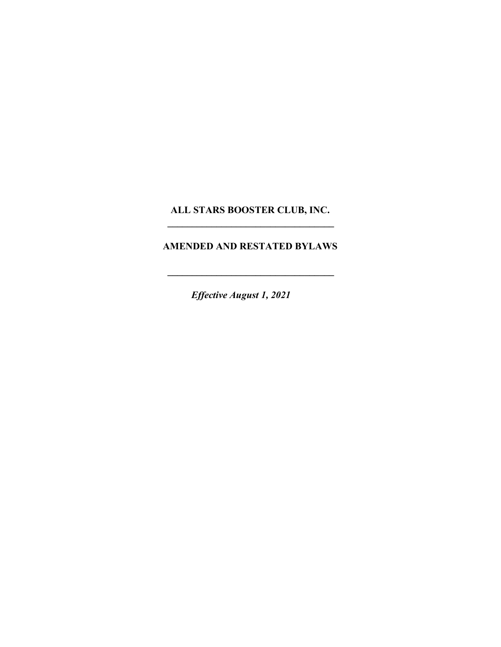## ALL STARS BOOSTER CLUB, INC.  $\mathcal{L}_\text{max}$  , where  $\mathcal{L}_\text{max}$  is the set of  $\mathcal{L}_\text{max}$

## AMENDED AND RESTATED BYLAWS

 $\mathcal{L}_\text{max}$  , where  $\mathcal{L}_\text{max}$  is the set of  $\mathcal{L}_\text{max}$ 

Effective August 1, 2021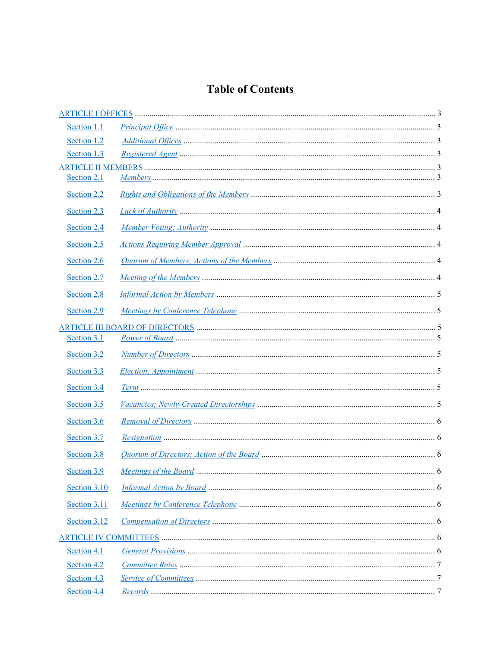# **Table of Contents**

| Section 1.1  |  |  |
|--------------|--|--|
| Section 1.2  |  |  |
| Section 1.3  |  |  |
|              |  |  |
| Section 2.1  |  |  |
| Section 2.2  |  |  |
| Section 2.3  |  |  |
| Section 2.4  |  |  |
| Section 2.5  |  |  |
| Section 2.6  |  |  |
| Section 2.7  |  |  |
| Section 2.8  |  |  |
| Section 2.9  |  |  |
| Section 3.1  |  |  |
| Section 3.2  |  |  |
| Section 3.3  |  |  |
| Section 3.4  |  |  |
| Section 3.5  |  |  |
| Section 3.6  |  |  |
| Section 3.7  |  |  |
| Section 3.8  |  |  |
| Section 3.9  |  |  |
| Section 3.10 |  |  |
| Section 3.11 |  |  |
| Section 3.12 |  |  |
|              |  |  |
| Section 4.1  |  |  |
| Section 4.2  |  |  |
| Section 4.3  |  |  |
| Section 4.4  |  |  |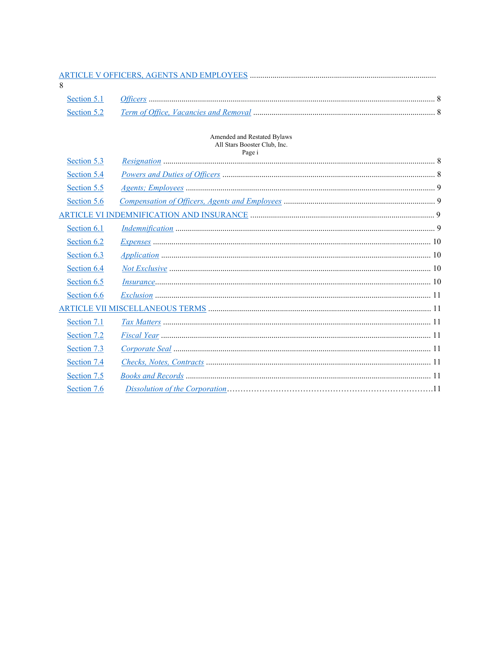# 

## Amended and Restated Bylaws All Stars Booster Club, Inc.<br>Page i

| Section 5.3 | 1 agus |  |
|-------------|--------|--|
|             |        |  |
| Section 5.4 |        |  |
| Section 5.5 |        |  |
| Section 5.6 |        |  |
|             |        |  |
| Section 6.1 |        |  |
| Section 6.2 |        |  |
| Section 6.3 |        |  |
| Section 6.4 |        |  |
| Section 6.5 |        |  |
| Section 6.6 |        |  |
|             |        |  |
| Section 7.1 |        |  |
| Section 7.2 |        |  |
| Section 7.3 |        |  |
| Section 7.4 |        |  |
| Section 7.5 |        |  |
| Section 7.6 |        |  |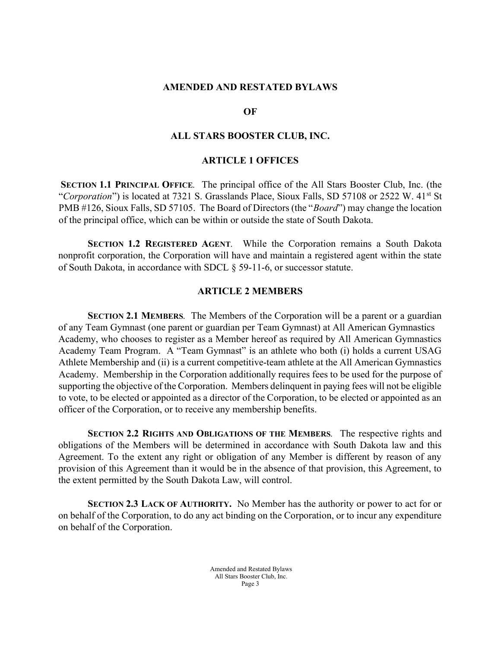#### AMENDED AND RESTATED BYLAWS

#### OF

#### ALL STARS BOOSTER CLUB, INC.

#### ARTICLE 1 OFFICES

SECTION 1.1 PRINCIPAL OFFICE. The principal office of the All Stars Booster Club, Inc. (the "Corporation") is located at 7321 S. Grasslands Place, Sioux Falls, SD 57108 or 2522 W. 41<sup>st</sup> St PMB #126, Sioux Falls, SD 57105. The Board of Directors (the "*Board*") may change the location of the principal office, which can be within or outside the state of South Dakota.

SECTION 1.2 REGISTERED AGENT. While the Corporation remains a South Dakota nonprofit corporation, the Corporation will have and maintain a registered agent within the state of South Dakota, in accordance with SDCL § 59-11-6, or successor statute.

#### ARTICLE 2 MEMBERS

SECTION 2.1 MEMBERS. The Members of the Corporation will be a parent or a guardian of any Team Gymnast (one parent or guardian per Team Gymnast) at All American Gymnastics Academy, who chooses to register as a Member hereof as required by All American Gymnastics Academy Team Program. A "Team Gymnast" is an athlete who both (i) holds a current USAG Athlete Membership and (ii) is a current competitive-team athlete at the All American Gymnastics Academy. Membership in the Corporation additionally requires fees to be used for the purpose of supporting the objective of the Corporation. Members delinquent in paying fees will not be eligible to vote, to be elected or appointed as a director of the Corporation, to be elected or appointed as an officer of the Corporation, or to receive any membership benefits.

SECTION 2.2 RIGHTS AND OBLIGATIONS OF THE MEMBERS. The respective rights and obligations of the Members will be determined in accordance with South Dakota law and this Agreement. To the extent any right or obligation of any Member is different by reason of any provision of this Agreement than it would be in the absence of that provision, this Agreement, to the extent permitted by the South Dakota Law, will control.

SECTION 2.3 LACK OF AUTHORITY. No Member has the authority or power to act for or on behalf of the Corporation, to do any act binding on the Corporation, or to incur any expenditure on behalf of the Corporation.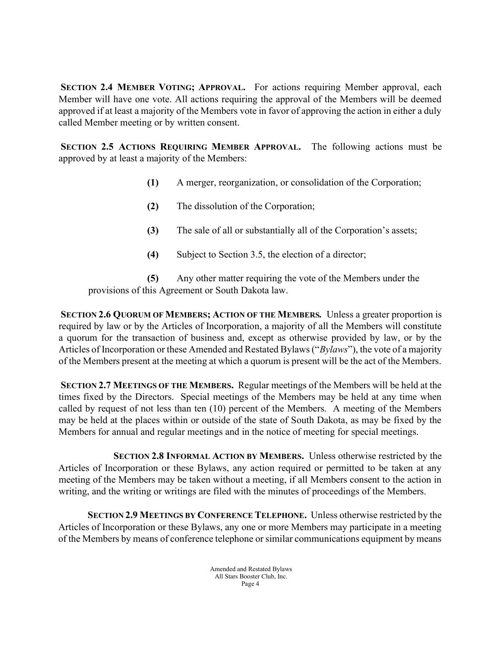SECTION 2.4 MEMBER VOTING; APPROVAL. For actions requiring Member approval, each Member will have one vote. All actions requiring the approval of the Members will be deemed approved if at least a majority of the Members vote in favor of approving the action in either a duly called Member meeting or by written consent.

SECTION 2.5 ACTIONS REQUIRING MEMBER APPROVAL. The following actions must be approved by at least a majority of the Members:

- (1) A merger, reorganization, or consolidation of the Corporation;
- (2) The dissolution of the Corporation;
- (3) The sale of all or substantially all of the Corporation's assets;
- (4) Subject to Section 3.5, the election of a director;

(5) Any other matter requiring the vote of the Members under the provisions of this Agreement or South Dakota law.

SECTION 2.6 QUORUM OF MEMBERS; ACTION OF THE MEMBERS. Unless a greater proportion is required by law or by the Articles of Incorporation, a majority of all the Members will constitute a quorum for the transaction of business and, except as otherwise provided by law, or by the Articles of Incorporation or these Amended and Restated Bylaws ("Bylaws"), the vote of a majority of the Members present at the meeting at which a quorum is present will be the act of the Members.

SECTION 2.7 MEETINGS OF THE MEMBERS. Regular meetings of the Members will be held at the times fixed by the Directors. Special meetings of the Members may be held at any time when called by request of not less than ten (10) percent of the Members. A meeting of the Members may be held at the places within or outside of the state of South Dakota, as may be fixed by the Members for annual and regular meetings and in the notice of meeting for special meetings.

 SECTION 2.8 INFORMAL ACTION BY MEMBERS. Unless otherwise restricted by the Articles of Incorporation or these Bylaws, any action required or permitted to be taken at any meeting of the Members may be taken without a meeting, if all Members consent to the action in writing, and the writing or writings are filed with the minutes of proceedings of the Members.

SECTION 2.9 MEETINGS BY CONFERENCE TELEPHONE. Unless otherwise restricted by the Articles of Incorporation or these Bylaws, any one or more Members may participate in a meeting of the Members by means of conference telephone or similar communications equipment by means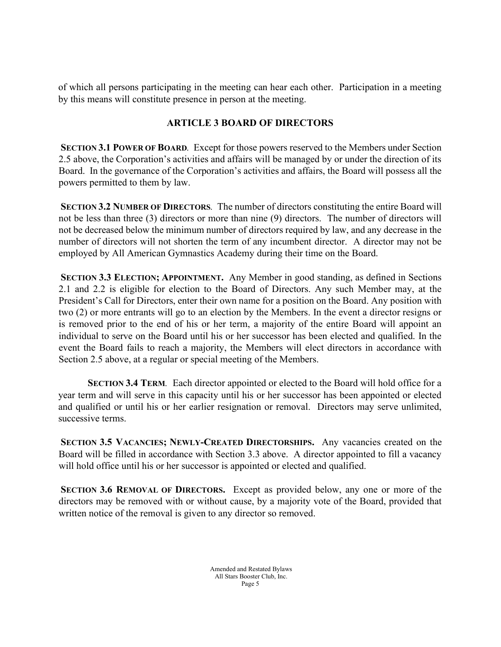of which all persons participating in the meeting can hear each other. Participation in a meeting by this means will constitute presence in person at the meeting.

# ARTICLE 3 BOARD OF DIRECTORS

SECTION 3.1 POWER OF BOARD. Except for those powers reserved to the Members under Section 2.5 above, the Corporation's activities and affairs will be managed by or under the direction of its Board. In the governance of the Corporation's activities and affairs, the Board will possess all the powers permitted to them by law.

SECTION 3.2 NUMBER OF DIRECTORS. The number of directors constituting the entire Board will not be less than three (3) directors or more than nine (9) directors. The number of directors will not be decreased below the minimum number of directors required by law, and any decrease in the number of directors will not shorten the term of any incumbent director. A director may not be employed by All American Gymnastics Academy during their time on the Board.

SECTION 3.3 ELECTION; APPOINTMENT. Any Member in good standing, as defined in Sections 2.1 and 2.2 is eligible for election to the Board of Directors. Any such Member may, at the President's Call for Directors, enter their own name for a position on the Board. Any position with two (2) or more entrants will go to an election by the Members. In the event a director resigns or is removed prior to the end of his or her term, a majority of the entire Board will appoint an individual to serve on the Board until his or her successor has been elected and qualified. In the event the Board fails to reach a majority, the Members will elect directors in accordance with Section 2.5 above, at a regular or special meeting of the Members.

SECTION 3.4 TERM. Each director appointed or elected to the Board will hold office for a year term and will serve in this capacity until his or her successor has been appointed or elected and qualified or until his or her earlier resignation or removal. Directors may serve unlimited, successive terms.

SECTION 3.5 VACANCIES; NEWLY-CREATED DIRECTORSHIPS. Any vacancies created on the Board will be filled in accordance with Section 3.3 above. A director appointed to fill a vacancy will hold office until his or her successor is appointed or elected and qualified.

SECTION 3.6 REMOVAL OF DIRECTORS. Except as provided below, any one or more of the directors may be removed with or without cause, by a majority vote of the Board, provided that written notice of the removal is given to any director so removed.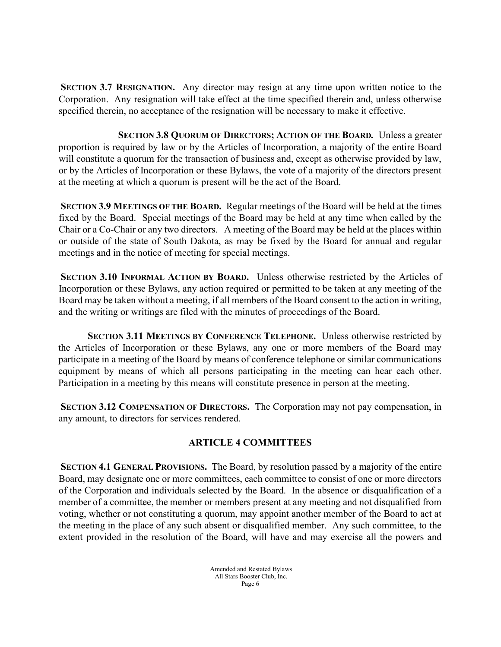SECTION 3.7 RESIGNATION. Any director may resign at any time upon written notice to the Corporation. Any resignation will take effect at the time specified therein and, unless otherwise specified therein, no acceptance of the resignation will be necessary to make it effective.

 SECTION 3.8 QUORUM OF DIRECTORS; ACTION OF THE BOARD. Unless a greater proportion is required by law or by the Articles of Incorporation, a majority of the entire Board will constitute a quorum for the transaction of business and, except as otherwise provided by law, or by the Articles of Incorporation or these Bylaws, the vote of a majority of the directors present at the meeting at which a quorum is present will be the act of the Board.

SECTION 3.9 MEETINGS OF THE BOARD. Regular meetings of the Board will be held at the times fixed by the Board. Special meetings of the Board may be held at any time when called by the Chair or a Co-Chair or any two directors. A meeting of the Board may be held at the places within or outside of the state of South Dakota, as may be fixed by the Board for annual and regular meetings and in the notice of meeting for special meetings.

SECTION 3.10 INFORMAL ACTION BY BOARD. Unless otherwise restricted by the Articles of Incorporation or these Bylaws, any action required or permitted to be taken at any meeting of the Board may be taken without a meeting, if all members of the Board consent to the action in writing, and the writing or writings are filed with the minutes of proceedings of the Board.

SECTION 3.11 MEETINGS BY CONFERENCE TELEPHONE. Unless otherwise restricted by the Articles of Incorporation or these Bylaws, any one or more members of the Board may participate in a meeting of the Board by means of conference telephone or similar communications equipment by means of which all persons participating in the meeting can hear each other. Participation in a meeting by this means will constitute presence in person at the meeting.

SECTION 3.12 COMPENSATION OF DIRECTORS. The Corporation may not pay compensation, in any amount, to directors for services rendered.

# ARTICLE 4 COMMITTEES

SECTION 4.1 GENERAL PROVISIONS. The Board, by resolution passed by a majority of the entire Board, may designate one or more committees, each committee to consist of one or more directors of the Corporation and individuals selected by the Board. In the absence or disqualification of a member of a committee, the member or members present at any meeting and not disqualified from voting, whether or not constituting a quorum, may appoint another member of the Board to act at the meeting in the place of any such absent or disqualified member. Any such committee, to the extent provided in the resolution of the Board, will have and may exercise all the powers and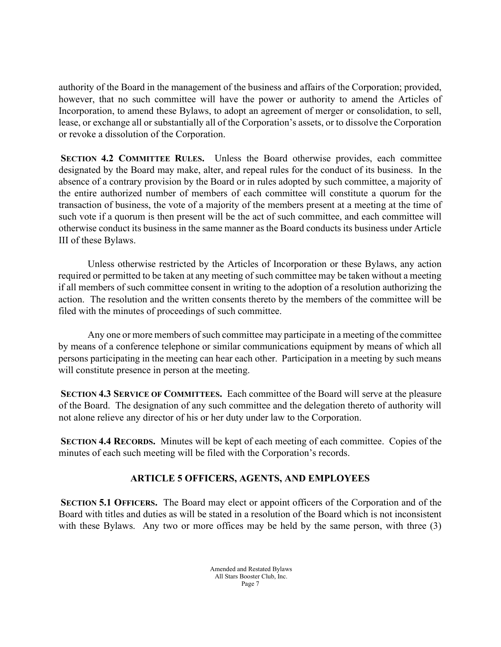authority of the Board in the management of the business and affairs of the Corporation; provided, however, that no such committee will have the power or authority to amend the Articles of Incorporation, to amend these Bylaws, to adopt an agreement of merger or consolidation, to sell, lease, or exchange all or substantially all of the Corporation's assets, or to dissolve the Corporation or revoke a dissolution of the Corporation.

SECTION 4.2 COMMITTEE RULES. Unless the Board otherwise provides, each committee designated by the Board may make, alter, and repeal rules for the conduct of its business. In the absence of a contrary provision by the Board or in rules adopted by such committee, a majority of the entire authorized number of members of each committee will constitute a quorum for the transaction of business, the vote of a majority of the members present at a meeting at the time of such vote if a quorum is then present will be the act of such committee, and each committee will otherwise conduct its business in the same manner as the Board conducts its business under Article III of these Bylaws.

Unless otherwise restricted by the Articles of Incorporation or these Bylaws, any action required or permitted to be taken at any meeting of such committee may be taken without a meeting if all members of such committee consent in writing to the adoption of a resolution authorizing the action. The resolution and the written consents thereto by the members of the committee will be filed with the minutes of proceedings of such committee.

Any one or more members of such committee may participate in a meeting of the committee by means of a conference telephone or similar communications equipment by means of which all persons participating in the meeting can hear each other. Participation in a meeting by such means will constitute presence in person at the meeting.

SECTION 4.3 SERVICE OF COMMITTEES. Each committee of the Board will serve at the pleasure of the Board. The designation of any such committee and the delegation thereto of authority will not alone relieve any director of his or her duty under law to the Corporation.

SECTION 4.4 RECORDS. Minutes will be kept of each meeting of each committee. Copies of the minutes of each such meeting will be filed with the Corporation's records.

# ARTICLE 5 OFFICERS, AGENTS, AND EMPLOYEES

SECTION 5.1 OFFICERS. The Board may elect or appoint officers of the Corporation and of the Board with titles and duties as will be stated in a resolution of the Board which is not inconsistent with these Bylaws. Any two or more offices may be held by the same person, with three (3)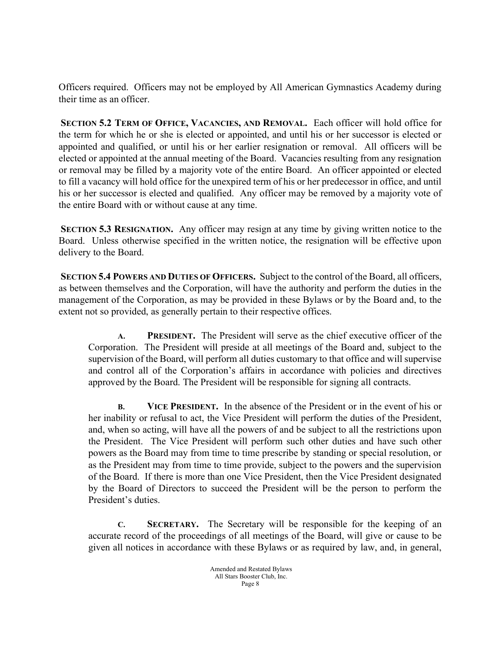Officers required. Officers may not be employed by All American Gymnastics Academy during their time as an officer.

SECTION 5.2 TERM OF OFFICE, VACANCIES, AND REMOVAL. Each officer will hold office for the term for which he or she is elected or appointed, and until his or her successor is elected or appointed and qualified, or until his or her earlier resignation or removal. All officers will be elected or appointed at the annual meeting of the Board. Vacancies resulting from any resignation or removal may be filled by a majority vote of the entire Board. An officer appointed or elected to fill a vacancy will hold office for the unexpired term of his or her predecessor in office, and until his or her successor is elected and qualified. Any officer may be removed by a majority vote of the entire Board with or without cause at any time.

SECTION 5.3 RESIGNATION. Any officer may resign at any time by giving written notice to the Board. Unless otherwise specified in the written notice, the resignation will be effective upon delivery to the Board.

SECTION 5.4 POWERS AND DUTIES OF OFFICERS. Subject to the control of the Board, all officers, as between themselves and the Corporation, will have the authority and perform the duties in the management of the Corporation, as may be provided in these Bylaws or by the Board and, to the extent not so provided, as generally pertain to their respective offices.

A. PRESIDENT. The President will serve as the chief executive officer of the Corporation. The President will preside at all meetings of the Board and, subject to the supervision of the Board, will perform all duties customary to that office and will supervise and control all of the Corporation's affairs in accordance with policies and directives approved by the Board. The President will be responsible for signing all contracts.

B. VICE PRESIDENT. In the absence of the President or in the event of his or her inability or refusal to act, the Vice President will perform the duties of the President, and, when so acting, will have all the powers of and be subject to all the restrictions upon the President. The Vice President will perform such other duties and have such other powers as the Board may from time to time prescribe by standing or special resolution, or as the President may from time to time provide, subject to the powers and the supervision of the Board. If there is more than one Vice President, then the Vice President designated by the Board of Directors to succeed the President will be the person to perform the President's duties.

C. SECRETARY. The Secretary will be responsible for the keeping of an accurate record of the proceedings of all meetings of the Board, will give or cause to be given all notices in accordance with these Bylaws or as required by law, and, in general,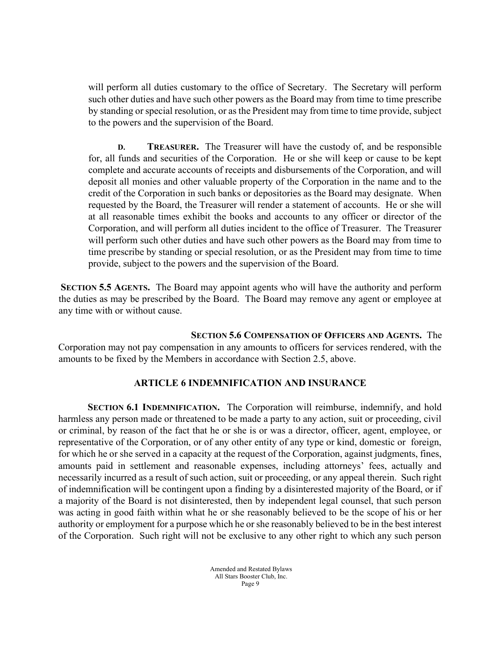will perform all duties customary to the office of Secretary. The Secretary will perform such other duties and have such other powers as the Board may from time to time prescribe by standing or special resolution, or as the President may from time to time provide, subject to the powers and the supervision of the Board.

D. TREASURER. The Treasurer will have the custody of, and be responsible for, all funds and securities of the Corporation. He or she will keep or cause to be kept complete and accurate accounts of receipts and disbursements of the Corporation, and will deposit all monies and other valuable property of the Corporation in the name and to the credit of the Corporation in such banks or depositories as the Board may designate. When requested by the Board, the Treasurer will render a statement of accounts. He or she will at all reasonable times exhibit the books and accounts to any officer or director of the Corporation, and will perform all duties incident to the office of Treasurer. The Treasurer will perform such other duties and have such other powers as the Board may from time to time prescribe by standing or special resolution, or as the President may from time to time provide, subject to the powers and the supervision of the Board.

SECTION 5.5 AGENTS. The Board may appoint agents who will have the authority and perform the duties as may be prescribed by the Board. The Board may remove any agent or employee at any time with or without cause.

 SECTION 5.6 COMPENSATION OF OFFICERS AND AGENTS. The Corporation may not pay compensation in any amounts to officers for services rendered, with the amounts to be fixed by the Members in accordance with Section 2.5, above.

### ARTICLE 6 INDEMNIFICATION AND INSURANCE

SECTION 6.1 INDEMNIFICATION. The Corporation will reimburse, indemnify, and hold harmless any person made or threatened to be made a party to any action, suit or proceeding, civil or criminal, by reason of the fact that he or she is or was a director, officer, agent, employee, or representative of the Corporation, or of any other entity of any type or kind, domestic or foreign, for which he or she served in a capacity at the request of the Corporation, against judgments, fines, amounts paid in settlement and reasonable expenses, including attorneys' fees, actually and necessarily incurred as a result of such action, suit or proceeding, or any appeal therein. Such right of indemnification will be contingent upon a finding by a disinterested majority of the Board, or if a majority of the Board is not disinterested, then by independent legal counsel, that such person was acting in good faith within what he or she reasonably believed to be the scope of his or her authority or employment for a purpose which he or she reasonably believed to be in the best interest of the Corporation. Such right will not be exclusive to any other right to which any such person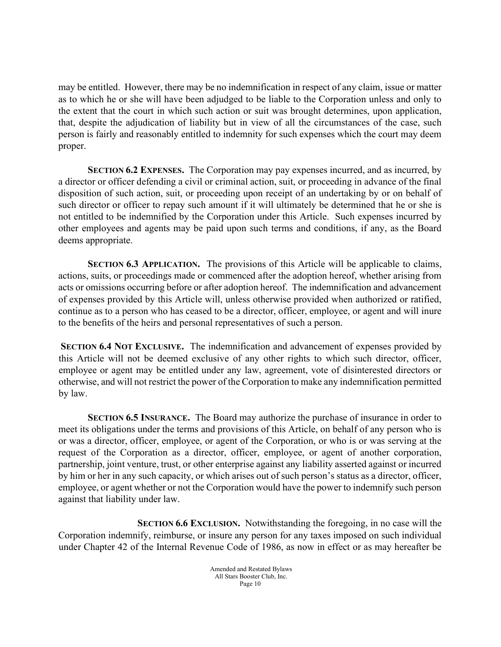may be entitled. However, there may be no indemnification in respect of any claim, issue or matter as to which he or she will have been adjudged to be liable to the Corporation unless and only to the extent that the court in which such action or suit was brought determines, upon application, that, despite the adjudication of liability but in view of all the circumstances of the case, such person is fairly and reasonably entitled to indemnity for such expenses which the court may deem proper.

SECTION 6.2 EXPENSES. The Corporation may pay expenses incurred, and as incurred, by a director or officer defending a civil or criminal action, suit, or proceeding in advance of the final disposition of such action, suit, or proceeding upon receipt of an undertaking by or on behalf of such director or officer to repay such amount if it will ultimately be determined that he or she is not entitled to be indemnified by the Corporation under this Article. Such expenses incurred by other employees and agents may be paid upon such terms and conditions, if any, as the Board deems appropriate.

SECTION 6.3 APPLICATION. The provisions of this Article will be applicable to claims, actions, suits, or proceedings made or commenced after the adoption hereof, whether arising from acts or omissions occurring before or after adoption hereof. The indemnification and advancement of expenses provided by this Article will, unless otherwise provided when authorized or ratified, continue as to a person who has ceased to be a director, officer, employee, or agent and will inure to the benefits of the heirs and personal representatives of such a person.

SECTION 6.4 NOT EXCLUSIVE. The indemnification and advancement of expenses provided by this Article will not be deemed exclusive of any other rights to which such director, officer, employee or agent may be entitled under any law, agreement, vote of disinterested directors or otherwise, and will not restrict the power of the Corporation to make any indemnification permitted by law.

SECTION 6.5 INSURANCE. The Board may authorize the purchase of insurance in order to meet its obligations under the terms and provisions of this Article, on behalf of any person who is or was a director, officer, employee, or agent of the Corporation, or who is or was serving at the request of the Corporation as a director, officer, employee, or agent of another corporation, partnership, joint venture, trust, or other enterprise against any liability asserted against or incurred by him or her in any such capacity, or which arises out of such person's status as a director, officer, employee, or agent whether or not the Corporation would have the power to indemnify such person against that liability under law.

 SECTION 6.6 EXCLUSION. Notwithstanding the foregoing, in no case will the Corporation indemnify, reimburse, or insure any person for any taxes imposed on such individual under Chapter 42 of the Internal Revenue Code of 1986, as now in effect or as may hereafter be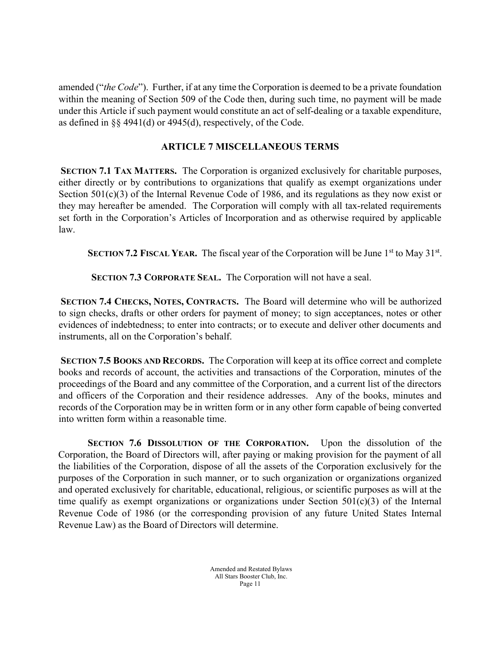amended ("the Code"). Further, if at any time the Corporation is deemed to be a private foundation within the meaning of Section 509 of the Code then, during such time, no payment will be made under this Article if such payment would constitute an act of self-dealing or a taxable expenditure, as defined in §§ 4941(d) or 4945(d), respectively, of the Code.

## ARTICLE 7 MISCELLANEOUS TERMS

SECTION 7.1 TAX MATTERS. The Corporation is organized exclusively for charitable purposes, either directly or by contributions to organizations that qualify as exempt organizations under Section 501(c)(3) of the Internal Revenue Code of 1986, and its regulations as they now exist or they may hereafter be amended. The Corporation will comply with all tax-related requirements set forth in the Corporation's Articles of Incorporation and as otherwise required by applicable law.

SECTION 7.2 FISCAL YEAR. The fiscal year of the Corporation will be June  $1<sup>st</sup>$  to May 31<sup>st</sup>.

SECTION 7.3 CORPORATE SEAL. The Corporation will not have a seal.

SECTION 7.4 CHECKS, NOTES, CONTRACTS. The Board will determine who will be authorized to sign checks, drafts or other orders for payment of money; to sign acceptances, notes or other evidences of indebtedness; to enter into contracts; or to execute and deliver other documents and instruments, all on the Corporation's behalf.

SECTION 7.5 BOOKS AND RECORDS. The Corporation will keep at its office correct and complete books and records of account, the activities and transactions of the Corporation, minutes of the proceedings of the Board and any committee of the Corporation, and a current list of the directors and officers of the Corporation and their residence addresses. Any of the books, minutes and records of the Corporation may be in written form or in any other form capable of being converted into written form within a reasonable time.

SECTION 7.6 DISSOLUTION OF THE CORPORATION. Upon the dissolution of the Corporation, the Board of Directors will, after paying or making provision for the payment of all the liabilities of the Corporation, dispose of all the assets of the Corporation exclusively for the purposes of the Corporation in such manner, or to such organization or organizations organized and operated exclusively for charitable, educational, religious, or scientific purposes as will at the time qualify as exempt organizations or organizations under Section 501(c)(3) of the Internal Revenue Code of 1986 (or the corresponding provision of any future United States Internal Revenue Law) as the Board of Directors will determine.